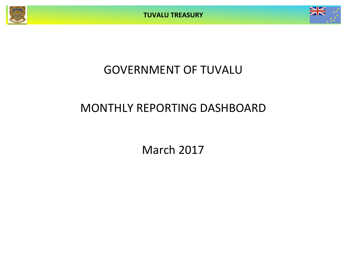

# GOVERNMENT OF TUVALU

## MONTHLY REPORTING DASHBOARD

March 2017

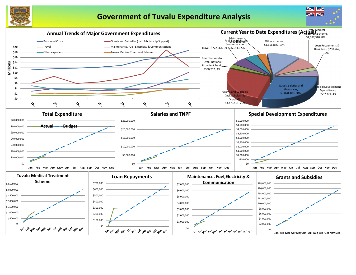

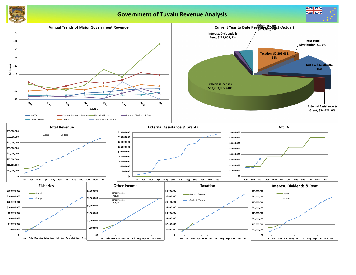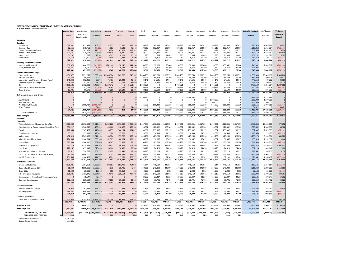**MONTHLY STATEMENT OF RECEIPTS AND PAYENTS BY NATURE OF EXPENSE**

| FOR THE PERIOD ENDED 31-Mar-17                                          |                     |                           |                        |                                                                                            |                  |                  |                   |                   |                   |                   |                   |                                                                        |                      |                   |                   |                          |                                 |                             |
|-------------------------------------------------------------------------|---------------------|---------------------------|------------------------|--------------------------------------------------------------------------------------------|------------------|------------------|-------------------|-------------------|-------------------|-------------------|-------------------|------------------------------------------------------------------------|----------------------|-------------------|-------------------|--------------------------|---------------------------------|-----------------------------|
|                                                                         | <b>Year to Date</b> | Year to Date              | Year to Date           | January                                                                                    | February         | March            | April             | May               | June              | July              | August            | September                                                              | October              | November          | December          | <b>Actual + Forecast</b> | 2017 Budget                     | Variance                    |
|                                                                         | Actual              | Budget &<br>Supplementary | Variance               | Actual                                                                                     | Actual           | Actual           | Forecast          | Forecast          | Forecast          | Forecast          | Forecast          | Forecast                                                               | Forecas <sup>®</sup> | Forecast          | Forecast          | <b>Full Year</b>         | <b>Full Year</b>                | Forecast &<br><b>Budget</b> |
|                                                                         |                     |                           |                        |                                                                                            |                  |                  |                   |                   |                   |                   |                   |                                                                        |                      |                   |                   |                          |                                 |                             |
| <b>RECEIPTS</b><br>Taxation                                             |                     |                           |                        |                                                                                            |                  |                  |                   |                   |                   |                   |                   |                                                                        |                      |                   |                   |                          |                                 |                             |
| Income Tax                                                              | 528,431             | 422,499                   | 105,932                | 187,355                                                                                    | 155,866          | 185,210          | 140,833           | 140,833           | 140,833           | 140,833           | 140,833           | 140,833                                                                | 140,833              | 140,833           | 140,833           | 1,795,928                | 1,689,996                       | 105,932                     |
| Company Tax                                                             | 82,565              | 578,751                   | (496,186               | 5,583                                                                                      | 1,641            | 75,342           | 192,917           | 192,917           | 192,917           | 192,917           | 192,917           | 192,917                                                                | 192,917              | 192,917           | 192,917           | 1,818,818                | 2,315,004                       | (496, 186)                  |
| <b>Tuvalu Consumption Taxes</b>                                         | 521,597             | 345,363                   | 176,234                | 170,934                                                                                    | 161,323          | 189,341          | 115,121           | 115,121           | 115,121           | 115,121           | 115,121           | 115,121                                                                | 115,121              | 115,121           | 115,121           | 1,557,686                | 1,381,452                       | 176,234                     |
| Import Duty & Excise                                                    | 629,171             | 420,663                   | 208,508                | 270,438                                                                                    | 135,020          | 223,713          | 140,221           | 140,221           | 140,221           | 140,221           | 140,221           | 140,221                                                                | 140,221              | 140,221           | 140,221           | 1,891,160                | 1,682,652                       | 208,508                     |
| Import Levy                                                             | 51,237              | 35,655                    | 15,582                 | 23,005                                                                                     | 8,113            | 20,118           | 11,885            | 11,885            | 11,885            | 11,885            | 11,885            | 11,885                                                                 | 11,885               | 11,885            | 11,885            | 158,202                  | 142,620                         | 15,582                      |
| <b>Other Taxes</b>                                                      | 9,669<br>1,822,671  | 47,250                    | (37, 581)<br>(27, 510) | 4,896<br>662,211                                                                           | 3,273<br>465,235 | 1,500<br>695,224 | 15,750<br>616,727 | 15,750<br>616,727 | 15,750<br>616,727 | 15,750<br>616,727 | 15,750<br>616,727 | 15,750<br>616,727                                                      | 15,750<br>616,727    | 15,750<br>616,727 | 15,750<br>616,727 | 151,419<br>7,373,214     | 189,000<br>7,400,724            | (37, 581)<br>(27, 510)      |
| <b>Interest, Dividends and Rent</b>                                     |                     | 1,850,181                 |                        |                                                                                            |                  |                  |                   |                   |                   |                   |                   |                                                                        |                      |                   |                   |                          |                                 |                             |
| <b>Interest and Dividends</b>                                           | 158,070             | 400,000                   | (241, 930)             | (24, 530)                                                                                  | 38,240           | 144,360          | 50,000            | 50,000            | 50,000            | 50,000            | 50,000            | 300,000                                                                | 50,000               | 1,433,862         | 50,000            | 2,241,932                | 2,483,862                       | (241, 930)                  |
| Lease, rent and hire                                                    | 69,731              | 79,080                    | (9,349)                | 41,078                                                                                     | 10,533           | 18,120           | 26,360            | 26,360            | 26,360            | 26,360            | 26,360            | 26,360                                                                 | 26,360               | 26,360            | 26,360            | 306,971                  | 316,320                         | (9, 349)                    |
|                                                                         | 227,801             | 479,080                   | (251, 279              | 16,548                                                                                     | 48,773           | 162,480          | 76,360            | 76,360            | 76,360            | 76,360            | 76,360            | 326,360                                                                | 76,360               | 1,460,222         | 76,360            | 2,548,903                | 2,800,182                       | (251, 279)                  |
| <b>Other Government Charaes</b>                                         |                     |                           |                        |                                                                                            |                  |                  |                   |                   |                   |                   |                   |                                                                        |                      |                   |                   |                          |                                 |                             |
| <b>Fisheries Licenses</b>                                               | 13,636,477          | 6,251,277                 | 7,385,200              | 11,085,584                                                                                 | 702,706          | 1,848,187        | 2,083,759         | 2,083,759         | 2,083,759         | 2,083,759         | 2,083,759         | 2,083,759                                                              | 2,083,759            | 2,083,759         | 2,083,759         | 32,390,308               | 25,005,108                      | 7,385,200                   |
| <b>Vessel Registrations</b><br>Marine Services (Nivaga II & Manu Folau) | 260,648<br>141,344  | 200,127<br>102,438        | 60,52<br>38,906        | 260,648                                                                                    |                  |                  | 66,709<br>34,146  | 66,709<br>34,146  | 66,709<br>34,146  | 66,709<br>34,146  | 66,709<br>34,146  | 66,709                                                                 | 66,709<br>34,146     | 66,709            | 66,709            | 861,029<br>448,658       | 800,508<br>409,752              | 60,521<br>38,906            |
| Stevedoring and Wharfage                                                | 106,380             | 47,610                    | 58,770                 | 71,497<br>31,296                                                                           | 29,422<br>37,154 | 40,425<br>37,930 | 15,870            | 15,870            | 15,870            | 15,870            | 15,870            | 34,146<br>15,870                                                       | 15,870               | 34,146<br>15,870  | 34,146<br>15,870  | 249,210                  | 190,440                         | 58,770                      |
| .TV                                                                     | 3,190,686           | 1,762,821                 | 1,427,865              | 1,639,342                                                                                  |                  | 1,551,344        | L,762,821         | - റ               |                   | .,762,821         | - 0               |                                                                        | 1,762,821            | $\mathbf 0$       |                   | 8,479,149                | 7,051,284                       | 1,427,865                   |
| Provision of Goods and Services                                         | 99,573              | 181,077                   | (81, 504)              | 39,783                                                                                     | 31,191           | 28,599           | 60,359            | 60,359            | 60,359            | 60,359            | 60,359            | 60,359                                                                 | 60,359               | 60,359            | 60,359            | 642,804                  | 724,308                         | (81, 504)                   |
| <b>Other Charges</b>                                                    | 63,901              | 96,570                    | (32, 669)              | 24,251                                                                                     | 26,149           | 13,501           | 32,190            | 32,190            | 32,190            | 32,190            | 32,190            | 32,190                                                                 | 32,190               | 32,190            | 32,190            | 353,611                  | 386,280                         | (32, 669)                   |
|                                                                         | 17,499,010          | 8,641,920                 | 8,857,090              | 13,152,401                                                                                 | 826,623          | 3,519,986        | 4,055,854         | 2,293,033         | 2,293,033         | 4,055,854         | 2,293,033         | 2,293,033                                                              | 4,055,854            | 2,293,033         | 2,293,033         | 43,424,770               | 34,567,680                      | 8,857,090                   |
| <b>External Assistance and Grants</b>                                   |                     |                           |                        |                                                                                            |                  |                  |                   |                   |                   |                   |                   |                                                                        |                      |                   |                   |                          |                                 |                             |
| <b>ROC</b>                                                              |                     |                           |                        |                                                                                            |                  |                  | 4,166,667         |                   |                   | <sup>n</sup>      | 4,166,667         | 0                                                                      | $\Omega$             | 0                 |                   | 8,333,333                | 8,333,333                       |                             |
| AusAID (CIF)<br>New Zealand (CIF)                                       |                     |                           |                        |                                                                                            |                  |                  |                   |                   |                   |                   |                   |                                                                        | 1,500,000<br>500,000 | $\Omega$          |                   | 1,500,000<br>500,000     | 1,500,000<br>500,000            |                             |
| World Bank, IMF, ADB                                                    |                     | 1,698,717                 | 1,698,717              |                                                                                            |                  |                  | 566,239           | 566,239           | 566,239           | 566,239           | 566,239           | 566,239                                                                | 566,239              | 566,239           | 566,239           | 5,096,151                | 6,794,868                       | (1,698,717)                 |
| <b>Other Donors</b>                                                     | 34,421              |                           | 34,421                 | 10,073                                                                                     | 253              | 24,095           | $\Omega$          |                   |                   |                   |                   |                                                                        |                      |                   |                   | 34,421                   |                                 | 34,42                       |
|                                                                         | 34,421              | 1,698,717                 | L,664,296              | 10,073                                                                                     | 253              | 24,095           | 4,732,906         | 566,239           | 566,239           | 566,239           | 4,732,906         | 566,239                                                                | 2,566,239            | 566,239           | 566,239           | 15,463,905               | 17,128,201                      | (1,664,296                  |
| TTF Distribution to CIF                                                 |                     | 1,674,999                 | 1,674,999              |                                                                                            |                  |                  | 558,333           |                   | 558,333           | 558,333           | 558,333           | 558,333                                                                | 558,333              | 558,333           | 558,333           | 4,466,664                | 6,699,996                       | (2, 233, 332)               |
| <b>Total Receipts</b>                                                   | 19,583,902          | 14,344,897                | 5,239,00               | 13,841,233                                                                                 | 1,340,884        | 4,401,785        | 10.040.180        | 3,552,359         | 4,110,692         | 5,873,513         | 8,277,359         | 4,360,692                                                              | 7,873,513            | 5,494,554         | 4,110,692         | 73,277,455               | 68,596,783                      | 4,680,672                   |
| <b>PAYMENTS</b>                                                         |                     |                           |                        |                                                                                            |                  |                  |                   |                   |                   |                   |                   |                                                                        |                      |                   |                   |                          |                                 |                             |
| <b>Operations</b>                                                       |                     |                           |                        |                                                                                            |                  |                  |                   |                   |                   |                   |                   |                                                                        |                      |                   |                   |                          |                                 |                             |
| Wages, Salaries, and Employee Benefits                                  | 3,878,400           | 19,396,503                | 15,518,103             | 1,249,260                                                                                  | 1,173,052        | 1,456,088        | 1,617,051         | 1,617,051         | 1,617,051         | 1,617,051         | 1,617,051         | 1,617,051                                                              | 1,617,051            | 1,617,051         | 1,617,051         | 18,431,856               | 19,404,608                      | 972,752                     |
| <b>Contributions to Tuvalu National Provident Fund</b>                  | 350,217             | 1,548,546                 | 1,198,329              | 109,666                                                                                    | 110,368          | 130,182          | 128,382           | 128,382           | 128,382           | 128,382           | 128,382           | 128,382                                                                | 128,382              | 128,382           | 128,382           | 1,505,652                | 1,540,580                       | 34,928                      |
| Travel                                                                  | 772,064             | 2,947,487                 | 2,175,424              | 233,753                                                                                    | 344,294          | 194,017          | 239,997           | 239,997           | 239,997           | 239,997           | 239,997           | 239,997                                                                | 239,997              | 239,997           | 239,997           | 2,932,037                | 2,879,885                       | (52, 152)                   |
| Telephone and Internet                                                  | 55,172              | 175,199                   | 120,027                | 11,086                                                                                     | 37,772           | 6,315            | 14,599            | 14,599            | 14,599            | 14,599            | 14,599            | 14,599                                                                 | 14,599               | 14,599            | 14,599            | 186,564                  | 175,189                         | (11, 375)                   |
| Maintenance                                                             | 432,028             | 5,743,152                 | 5,311,124              | 83,384                                                                                     | 175,708          | 172,936          | 425,250           | 425,250           | 425,250           | 425,250           | 425,250           | 425,250                                                                | 425,250              | 425,250           | 425,250           | 4,259,278                | 5,103,001                       | 843,722                     |
|                                                                         |                     |                           |                        |                                                                                            |                  |                  |                   |                   |                   |                   |                   |                                                                        |                      |                   |                   |                          |                                 |                             |
| Advertising and Provisions                                              | 274,506             | 1,164,714                 | 890,208                | 61,309                                                                                     | 80,004           | 133,192          | 96,057            | 96,057            | 96,057            | 96,057            | 96,057            | 96,057                                                                 | 96,057               | 96,057            | 96,057            | 1,139,018                | 1,152,682                       | 13,664                      |
| Fuel and Oil                                                            | 383,484             | 1,246,330                 | 862,846                | 130,565                                                                                    | 173,387          | 79,531           | 103,780           | 103,780           | 103,780           | 103,780           | 103,780           | 103,780                                                                | 103,780              | 103,780           | 103,780           | 1,317,500                | 1,245,356                       | (72, 145)                   |
| Supplies and Equipment                                                  | 540,226             | 6,518,775                 | 5,978,549              | 35,851                                                                                     | 96,629           | 407,746          | 535,843           | 535,843           | 535,843           | 535,843           | 535,843           | 535,843                                                                | 535,843              | 535,843           | 535,843           | 5,362,813                | 6,430,115                       | 1,067,302                   |
| Electricity                                                             | 222,257             | 893,147                   | 670,890                | 30,066                                                                                     | 138,452          | 53,740           | 74,428            | 74,428            | 74,428            | 74,428            | 74,428            | 74,428                                                                 | 74,428               | 74,428            | 74,428            | 892,114                  | 893,142                         | 1,028                       |
| Senior Citizen Scheme / Pension                                         | 90,517              | 398,688                   | 308,171                | 31,899                                                                                     | 29,449           | 29,169           | 33,225            | 33,225            | 33,225            | 33,225            | 33,225            | 33,225                                                                 | 33,225               | 33,225            | 33,225            | 389,542                  | 398,700                         | 9,158                       |
| <b>TMTS (Tuvalu Medical Treatment Scheme)</b>                           | 1,087,340           | 3,004,000                 | 1,916,660              | 128,051                                                                                    | 644,498          | 314,791          | 250,333           | 250,333           | 250,333           | 250,333           | 250,333           | 250,333                                                                | 250,333              | 250,333           | 250,333           | 3,340,340                | 3,004,000                       | (336, 340)                  |
| Land & Property Rent                                                    | 751,636             | 1,166,407                 | 414,77                 | 26,701                                                                                     | 15,159           | 709,777          | 97,201            | 97,201            | 97,201            | 97,201            | 97,201            | 97,201                                                                 | 97,201               | 97,201            | 97,201            | 1,626,442                | 1,166,407                       | (460, 035)                  |
|                                                                         | 8,837,848           | 44,202,948                | 35,365,100             | 2,131,593                                                                                  | 3,018,771        | 3,687,484        | 3,616,145         | 3,616,145         | 3,616,145         | 3,616,145         | 3,616,145         | 3,616,145                                                              | 3,616,145            | 3,616,145         | 3,616,145         | 41,383,156               | 43,393,665                      | 2,010,508                   |
| <b>Grants and Subsidies</b>                                             |                     |                           |                        |                                                                                            |                  |                  |                   |                   |                   |                   |                   |                                                                        |                      |                   |                   |                          |                                 |                             |
| <b>Grants and Subsidies</b>                                             | 2,138,921           | 5,394,953                 | 3,256,03               | 822,167                                                                                    | 851,799          | 464,955          | 446,514           | 446,514           | 446,514           | 446,514           | 446,514           | 446,514                                                                | 446,514              | 446,514           | 446,514           | 6,157,545                | 5,358,164                       | (799, 380)                  |
| Outer Island Projects (SDE)                                             | 51,449              | 2,880,000                 | 2,828,55               | 5,870                                                                                      | 38,795           | 6,784            | 240,000           | 240,000           | 240,000           | 240,000           | 240,000           | 240,000                                                                | 240,000              | 240,000           | 240,000           | 2,211,449                | 2,880,000                       | 668,551                     |
| Other SDEs                                                              | 11,432              | 25,000                    | 13,568                 | 550                                                                                        | 10,862           | 20               | 2,083             | 2,083             | 2,083             | 2,083             | 2,083             | 2,083                                                                  | 2,083                | 2,083             | 2,083             | 30,182                   | 25,000                          | (5, 182)                    |
| Scholarships and Support                                                | 1,126,481           | 6,761,346                 | 5,634,865              | 410,141                                                                                    | 228,654          | 487,685          | 541,613           | 541,613           | 541,613           | 541,613           | 541,613           | 541,613                                                                | 541,613              | 541,613           | 541,613           | 6,000,993                | 6,499,350                       | 498,357                     |
| Contribution to Japan Grant Counterpart Fund                            |                     | 78,647                    | 78,647                 | - 0                                                                                        |                  |                  | 23,237            | 23,237            | 23,237            | 23,237            | 23,237            | 23,237                                                                 | 23,237               | 23,237            | 23,237            | 209,135                  | 278,847                         | 69,712                      |
| <b>Overseas Contributions</b>                                           | 162,550             | 829,692                   | 667,142                | 90,016                                                                                     | 39,502           | 33,032           | 71,791            | 71,791            | 71,791            | 71,791            | 71,791            | 71,791                                                                 | 71,791               | 71,791            | 71,791            | 808,669                  | 861,492                         | 52,823                      |
|                                                                         | 3,490,833           | 15,969,638                | 2,478,804              | 1,328,745                                                                                  | 1,169,613        | 992,475          | 1,325,238         | 1,325,238         | 1,325,238         | ,325,238          | ,325,238          | 1,325,238                                                              | 1,325,238            | 1,325,238         | 1,325,238         | 15,417,973               | 15,902,853                      | 484,880                     |
| <b>Loans and Interest</b>                                               |                     |                           |                        |                                                                                            |                  |                  |                   |                   |                   |                   |                   |                                                                        |                      |                   |                   |                          |                                 |                             |
| Interest and Bank Charges                                               | 8,920               | 262,232                   | 253,312                | 2,734                                                                                      | 2,583            | 3,603            | 21,853            | 21,853            | 21,853            | 21,853            | 21,853            | 21,853                                                                 | 21,853               | 21,853            | 21,853            | 205,594                  | 262,232                         | 56,638                      |
| Loan Repayment                                                          | 289,342             | 640,281                   | 350,939                |                                                                                            | 289,342          |                  | 53,357            | 53,357            | 53,357            | 53,357            | 53,357            | 53,357                                                                 | 53,357               | 53,357            | 53,357            | 769,552                  | 640,281                         | (129, 271)                  |
|                                                                         | 298,262             | 902,513                   | 604,251                | 2,734                                                                                      | 291,924          | 3,603            | 75,209            | 75,209            | 75,209            | 75,209            | 75,209            | 75,209                                                                 | 75,209               | 75,209            | 75,209            | 975,146                  | 902,513                         | (72, 633)                   |
| <b>Capital Expenditures</b>                                             |                     |                           |                        |                                                                                            |                  |                  |                   |                   |                   |                   |                   |                                                                        |                      |                   |                   |                          |                                 |                             |
| Purchase/construction of assets                                         | 525,938             | 6,783,701                 | 6,257,763              | 102,746                                                                                    | 160,925          | 262,267          | 472,726           | 472,726           | 472,726           | 472,726           | 472,726           | 472.726                                                                | 472,726              | 472,726           | 472,726           | 4,780,472                | 5,672,711                       | 892,239                     |
|                                                                         | 525,938             | 6,783,701                 | 6,257,763              | 102,746                                                                                    | 160,925          | 262,267          | 472,726           | 472,726           | 472,726           | 472,726           | 472,726           | 472,726                                                                | 472,726              | 472,726           | 472,726           | 4,780,472                | 5,672,711                       | 892,239                     |
| <b>Transfer to TTF</b>                                                  |                     | 5,000,000                 | 5,000,000              | $\Omega$                                                                                   |                  |                  | 416,667           | 416,667           | 416,667           | 416,667           | 416,667           | 416,667                                                                | 416,667              | 416,667           | 416,667           | 3,750,000                | 5,000,000                       | 1,250,000                   |
| <b>Total Payments</b>                                                   | 13,152,881          | 72,858,799                | 59,705,918             | 3,565,818                                                                                  | 4,641,234        | 4,945,829        | 5,905,985         | 5,905,985         | 5,905,985         | 5,905,985         | 5,905,985         | 5,905,985                                                              | 5,905,985            | 5,905,985         | 5,905,985         | 66,306,748               | 70,871,742                      | 4,564,995                   |
| <b>NET SURPLUS / (DEFICIT)</b>                                          | 6,431,021           |                           |                        | (58,513,902) 64,944,924 10,275,416 (3,300,350) (544,044) 4,134,194 (2,353,626) (1,795,293) |                  |                  |                   |                   |                   |                   |                   | $(32,472)$ 2,371,373 $(1,545,293)$ 1,967,528 $(411,431)$ $(1,795,293)$ |                      |                   |                   |                          | 6,970,708 (2,274,959) 9,245,667 |                             |
| <b>FORECAST CASH POSITION</b><br>\$M                                    | 31.8                |                           |                        | 35.6                                                                                       | 32.3             | 31.8             | 35.9              | 33.6              | 31.8              | 31.7              | 34.1              | 32.6                                                                   | 34.5                 | 34.1              | 32.3              |                          |                                 |                             |
| Consolidated Investment Fund                                            | 27,579,609          |                           |                        |                                                                                            |                  |                  |                   |                   |                   |                   |                   |                                                                        |                      |                   |                   |                          |                                 |                             |

General Current Account 4,199,121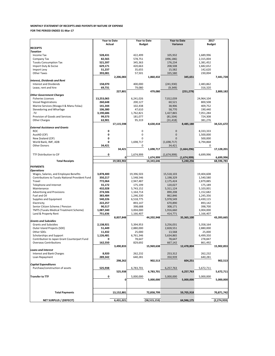|                                                                               | <b>Year to Date</b><br><b>Actual</b> |              | <b>Year to Date</b> |                | <b>Year to Date</b><br>Variance |             | 2017<br><b>Budget</b> |               |
|-------------------------------------------------------------------------------|--------------------------------------|--------------|---------------------|----------------|---------------------------------|-------------|-----------------------|---------------|
| <b>RECEIPTS</b>                                                               |                                      |              | <b>Budget</b>       |                |                                 |             |                       |               |
| <b>Taxation</b>                                                               |                                      |              |                     |                |                                 |             |                       |               |
| Income Tax                                                                    | 528,431                              |              | 422,499             |                | 105,932                         |             | 1,689,996             |               |
| Company Tax                                                                   | 82,565                               |              | 578,751             |                | (496, 186)                      |             | 2,315,004             |               |
| <b>Tuvalu Consumption Tax</b>                                                 | 521,597                              |              | 345,363             |                | 176,234                         |             | 1,381,452             |               |
| Import Duty & Excise                                                          | 629,171                              |              | 420,663             |                | 208,508                         |             | 1,682,652             |               |
| Import Levy                                                                   | 51,237                               |              | 35,655              |                | 15,582                          |             | 142,620               |               |
| <b>Other Taxes</b>                                                            | 393,081                              |              | 57,501              |                | 335,580                         |             | 230,004               |               |
|                                                                               |                                      | 2,206,083    |                     | 1,860,432      |                                 | 345,651     |                       | 7,441,728     |
| <b>Interest, Dividends and Rent</b>                                           |                                      |              |                     |                |                                 |             |                       |               |
| <b>Interest and Dividends</b>                                                 | 158,070                              |              | 400,000             |                | (241, 930)                      |             | 2,483,862             |               |
| Lease, rent and hire                                                          | 69,731                               |              | 79,080              |                | (9, 349)                        |             | 316,320               |               |
|                                                                               |                                      | 227,801      |                     | 479,080        |                                 | (251, 279)  |                       | 2,800,182     |
| <b>Other Government Charges</b>                                               |                                      |              |                     |                |                                 |             |                       |               |
| <b>Fisheries Licenses</b>                                                     | 13,253,065                           |              | 6,241,026           |                | 7,012,039                       |             | 24,964,104            |               |
| <b>Vessel Registrations</b>                                                   | 260,648                              |              | 200,127             |                | 60,521                          |             | 800,508               |               |
| Marine Services (Nivaga II & Manu Folau)<br>Stevedoring and Wharfage          | 141,344<br>106,380                   |              | 102,438<br>47,610   |                | 38,906<br>58,770                |             | 409,752<br>190,440    |               |
| .TV                                                                           | 3,190,686                            |              | 1,762,821           |                | 1,427,865                       |             | 7,051,284             |               |
| Provision of Goods and Services                                               | 99,573                               |              | 181,077             |                | (81, 504)                       |             | 724,308               |               |
| <b>Other Charges</b>                                                          | 63,901                               |              | 95,319              |                | (31, 418)                       |             | 381,276               |               |
|                                                                               |                                      | 17,115,598   |                     | 8,630,418      |                                 | 8,485,180   |                       | 34,521,672    |
| <b>External Assistance and Grants</b>                                         |                                      |              |                     |                |                                 |             |                       |               |
| <b>ROC</b>                                                                    | 0                                    |              | 0                   |                | 0                               |             | 8,333,333             |               |
| AusAID (CIF)                                                                  | 0                                    |              | 0                   |                | 0                               |             | 1,500,000             |               |
| New Zealand (CIF)                                                             | 0                                    |              | 0                   |                | $\Omega$                        |             | 500,000               |               |
| World Bank, IMF, ADB                                                          | 0                                    |              | 1,698,717           |                | (1,698,717)                     |             | 6,794,868             |               |
| <b>Other Donors</b>                                                           | 34,421                               |              | 0                   |                | 34,421                          |             | 0                     |               |
|                                                                               |                                      | 34,421       |                     | 1,698,717      |                                 | (1,664,296) |                       | 17,128,201    |
| TTF Distribution to CIF                                                       | 0                                    |              | 1,674,999           |                | (1,674,999)                     |             | 6,699,996             |               |
|                                                                               |                                      | $\mathbf{0}$ |                     | 1,674,999      |                                 | (1,674,999) |                       | 6,699,996     |
| <b>Total Receipts</b>                                                         |                                      | 19,583,902   |                     | 14,343,646     |                                 | 5,240,256   |                       | 68,596,783    |
| <b>PAYMENTS</b>                                                               |                                      |              |                     |                |                                 |             |                       |               |
| <b>Operations</b>                                                             |                                      |              |                     |                |                                 |             |                       |               |
| Wages, Salaries, and Employee Benefits                                        | 3,878,400                            |              | 19,396,503          |                | 15,518,103                      |             | 19,404,608            |               |
| Contributions to Tuvalu National Provident Fund                               | 350,217                              |              | 1,548,546           |                | 1,198,329                       |             | 1,540,580             |               |
| Travel                                                                        | 772,064                              |              | 2,947,487           |                | 2,175,424                       |             | 2,879,885             |               |
| Telephone and Internet                                                        | 55,172                               |              | 175,199             |                | 120,027                         |             | 175,189               |               |
| Maintenance                                                                   | 432,028                              |              | 5,743,152           |                | 5,311,124                       |             | 5,103,001             |               |
| Advertising and Provisions                                                    | 274,506                              |              | 1,164,714           |                | 890,208                         |             | 1,152,682             |               |
| Fuel and Oil                                                                  | 383,484                              |              | 1,246,330           |                | 862,846                         |             | 1,245,356             |               |
| Supplies and Equipment                                                        | 540,226                              |              | 6,518,775           |                | 5,978,549                       |             | 6,430,115             |               |
| Electricity                                                                   | 222,257                              |              | 893,147             |                | 670,890                         |             | 893,142               |               |
| Senior Citizen Scheme / Pension                                               | 90,517                               |              | 398,688             |                | 308,171                         |             | 398,700               |               |
| <b>TMTS (Tuvalu Medical Treatment Scheme)</b>                                 | 1,087,340                            |              | 3,004,000           |                | 1,916,660                       |             | 3,004,000             |               |
| Land & Property Rent                                                          | 751,636                              |              | 1,166,407           |                | 414,771                         |             | 1,166,407             |               |
|                                                                               |                                      | 8,837,848    |                     | 44,202,948     |                                 | 35,365,100  |                       | 43,393,665    |
| <b>Grants and Subsidies</b>                                                   |                                      |              |                     |                |                                 |             |                       |               |
| <b>Grants and Subsidies</b>                                                   | 2,138,921                            |              | 5,394,953           |                | 3,256,031                       |             | 5,358,164             |               |
| Outer Island Projects (SDE)                                                   | 51,449                               |              | 2,880,000           |                | 2,828,551                       |             | 2,880,000             |               |
| Other SDEs                                                                    | 11,432                               |              | 25,000              |                | 13,568                          |             | 25,000                |               |
| Scholarships and Support                                                      | 1,126,481                            |              | 6,761,346           |                | 5,634,865                       |             | 6,499,350             |               |
| Contribution to Japan Grant Counterpart Fund<br><b>Overseas Contributions</b> | 0<br>162,550                         |              | 78,647<br>829,692   |                | 78,647<br>667,142               |             | 278,847<br>861,492    |               |
|                                                                               |                                      | 3,490,833    |                     | 15,969,638     |                                 | 12,478,804  |                       | 15,902,853    |
| <b>Loans and Interest</b>                                                     |                                      |              |                     |                |                                 |             |                       |               |
| <b>Interest and Bank Charges</b>                                              | 8,920                                |              | 262,232             |                | 253,312                         |             | 262,232               |               |
| Loan Repayment                                                                | 289,342                              |              | 640,281             |                | 350,939                         |             | 640,281               |               |
|                                                                               |                                      | 298,262      |                     | 902,513        |                                 | 604,251     |                       | 902,513       |
| <b>Capital Expenditures</b>                                                   |                                      |              |                     |                |                                 |             |                       |               |
| Purchase/construction of assets                                               | 525,938                              |              | 6,783,701           |                | 6,257,763                       |             | 5,672,711             |               |
|                                                                               |                                      | 525,938      |                     | 6,783,701      |                                 | 6,257,763   |                       | 5,672,711     |
| <b>Transfer to TTF</b>                                                        | 0                                    |              | 5,000,000           |                | 5,000,000                       |             | 5,000,000             |               |
|                                                                               |                                      | 0            |                     | 5,000,000      |                                 | 5,000,000   |                       | 5,000,000     |
|                                                                               |                                      |              |                     |                |                                 |             |                       |               |
|                                                                               |                                      |              |                     |                |                                 |             |                       |               |
| <b>Total Payments</b>                                                         |                                      | 13,152,881   |                     | 72,858,799     |                                 | 59,705,918  |                       | 70,871,742    |
|                                                                               |                                      |              |                     |                |                                 |             |                       |               |
| <b>NET SURPLUS / (DEFECIT)</b>                                                |                                      | 6,431,021    |                     | (58, 515, 153) |                                 | 64,946,175  |                       | (2, 274, 959) |

### **MONTHLY STATEMENT OF RECEIPTS AND PAYENTS BY NATURE OF EXPENSE**

**FOR THE PERIOD ENDED 31-Mar-17**